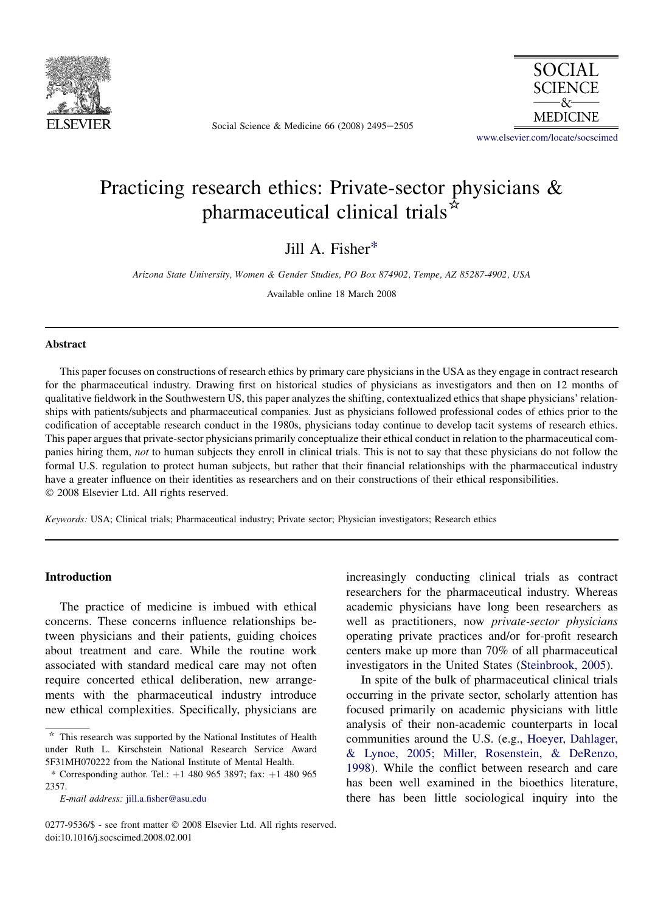

Social Science & Medicine  $66$  (2008) 2495 $-2505$ 



[www.elsevier.com/locate/socscimed](http://www.elsevier.com/locate/socscimed)

# Practicing research ethics: Private-sector physicians & pharmaceutical clinical trials $*$

Jill A. Fisher\*

Arizona State University, Women & Gender Studies, PO Box 874902, Tempe, AZ 85287-4902, USA

Available online 18 March 2008

#### Abstract

This paper focuses on constructions of research ethics by primary care physicians in the USA as they engage in contract research for the pharmaceutical industry. Drawing first on historical studies of physicians as investigators and then on 12 months of qualitative fieldwork in the Southwestern US, this paper analyzes the shifting, contextualized ethics that shape physicians' relationships with patients/subjects and pharmaceutical companies. Just as physicians followed professional codes of ethics prior to the codification of acceptable research conduct in the 1980s, physicians today continue to develop tacit systems of research ethics. This paper argues that private-sector physicians primarily conceptualize their ethical conduct in relation to the pharmaceutical companies hiring them, not to human subjects they enroll in clinical trials. This is not to say that these physicians do not follow the formal U.S. regulation to protect human subjects, but rather that their financial relationships with the pharmaceutical industry have a greater influence on their identities as researchers and on their constructions of their ethical responsibilities. © 2008 Elsevier Ltd. All rights reserved.

Keywords: USA; Clinical trials; Pharmaceutical industry; Private sector; Physician investigators; Research ethics

#### Introduction

The practice of medicine is imbued with ethical concerns. These concerns influence relationships between physicians and their patients, guiding choices about treatment and care. While the routine work associated with standard medical care may not often require concerted ethical deliberation, new arrangements with the pharmaceutical industry introduce new ethical complexities. Specifically, physicians are

E-mail address: [jill.a.fisher@asu.edu](mailto:jill.a.fisher@asu.edu)

increasingly conducting clinical trials as contract researchers for the pharmaceutical industry. Whereas academic physicians have long been researchers as well as practitioners, now private-sector physicians operating private practices and/or for-profit research centers make up more than 70% of all pharmaceutical investigators in the United States ([Steinbrook, 2005\)](#page-10-0).

In spite of the bulk of pharmaceutical clinical trials occurring in the private sector, scholarly attention has focused primarily on academic physicians with little analysis of their non-academic counterparts in local communities around the U.S. (e.g., [Hoeyer, Dahlager,](#page-9-0) [& Lynoe, 2005; Miller, Rosenstein, & DeRenzo,](#page-9-0) [1998\)](#page-9-0). While the conflict between research and care has been well examined in the bioethics literature, there has been little sociological inquiry into the

This research was supported by the National Institutes of Health under Ruth L. Kirschstein National Research Service Award 5F31MH070222 from the National Institute of Mental Health.

<sup>\*</sup> Corresponding author. Tel.:  $+1$  480 965 3897; fax:  $+1$  480 965 2357.

<sup>0277-9536/\$ -</sup> see front matter © 2008 Elsevier Ltd. All rights reserved. doi:10.1016/j.socscimed.2008.02.001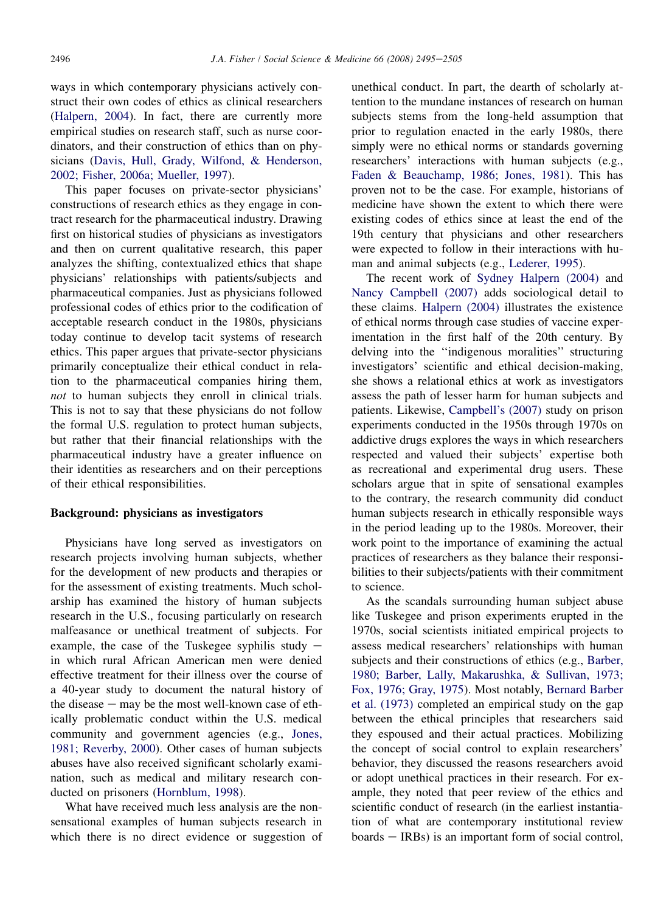ways in which contemporary physicians actively construct their own codes of ethics as clinical researchers ([Halpern, 2004](#page-9-0)). In fact, there are currently more empirical studies on research staff, such as nurse coordinators, and their construction of ethics than on physicians [\(Davis, Hull, Grady, Wilfond, & Henderson,](#page-9-0) [2002; Fisher, 2006a; Mueller, 1997](#page-9-0)).

This paper focuses on private-sector physicians' constructions of research ethics as they engage in contract research for the pharmaceutical industry. Drawing first on historical studies of physicians as investigators and then on current qualitative research, this paper analyzes the shifting, contextualized ethics that shape physicians' relationships with patients/subjects and pharmaceutical companies. Just as physicians followed professional codes of ethics prior to the codification of acceptable research conduct in the 1980s, physicians today continue to develop tacit systems of research ethics. This paper argues that private-sector physicians primarily conceptualize their ethical conduct in relation to the pharmaceutical companies hiring them, not to human subjects they enroll in clinical trials. This is not to say that these physicians do not follow the formal U.S. regulation to protect human subjects, but rather that their financial relationships with the pharmaceutical industry have a greater influence on their identities as researchers and on their perceptions of their ethical responsibilities.

## Background: physicians as investigators

Physicians have long served as investigators on research projects involving human subjects, whether for the development of new products and therapies or for the assessment of existing treatments. Much scholarship has examined the history of human subjects research in the U.S., focusing particularly on research malfeasance or unethical treatment of subjects. For example, the case of the Tuskegee syphilis study  $$ in which rural African American men were denied effective treatment for their illness over the course of a 40-year study to document the natural history of the disease  $-$  may be the most well-known case of ethically problematic conduct within the U.S. medical community and government agencies (e.g., [Jones,](#page-9-0) [1981; Reverby, 2000\)](#page-9-0). Other cases of human subjects abuses have also received significant scholarly examination, such as medical and military research conducted on prisoners ([Hornblum, 1998\)](#page-9-0).

What have received much less analysis are the nonsensational examples of human subjects research in which there is no direct evidence or suggestion of

unethical conduct. In part, the dearth of scholarly attention to the mundane instances of research on human subjects stems from the long-held assumption that prior to regulation enacted in the early 1980s, there simply were no ethical norms or standards governing researchers' interactions with human subjects (e.g., [Faden & Beauchamp, 1986; Jones, 1981\)](#page-9-0). This has proven not to be the case. For example, historians of medicine have shown the extent to which there were existing codes of ethics since at least the end of the 19th century that physicians and other researchers were expected to follow in their interactions with human and animal subjects (e.g., [Lederer, 1995](#page-10-0)).

The recent work of [Sydney Halpern \(2004\)](#page-9-0) and [Nancy Campbell \(2007\)](#page-9-0) adds sociological detail to these claims. [Halpern \(2004\)](#page-9-0) illustrates the existence of ethical norms through case studies of vaccine experimentation in the first half of the 20th century. By delving into the ''indigenous moralities'' structuring investigators' scientific and ethical decision-making, she shows a relational ethics at work as investigators assess the path of lesser harm for human subjects and patients. Likewise, [Campbell's \(2007\)](#page-9-0) study on prison experiments conducted in the 1950s through 1970s on addictive drugs explores the ways in which researchers respected and valued their subjects' expertise both as recreational and experimental drug users. These scholars argue that in spite of sensational examples to the contrary, the research community did conduct human subjects research in ethically responsible ways in the period leading up to the 1980s. Moreover, their work point to the importance of examining the actual practices of researchers as they balance their responsibilities to their subjects/patients with their commitment to science.

As the scandals surrounding human subject abuse like Tuskegee and prison experiments erupted in the 1970s, social scientists initiated empirical projects to assess medical researchers' relationships with human subjects and their constructions of ethics (e.g., [Barber,](#page-9-0) [1980; Barber, Lally, Makarushka, & Sullivan, 1973;](#page-9-0) [Fox, 1976; Gray, 1975\)](#page-9-0). Most notably, [Bernard Barber](#page-9-0) [et al. \(1973\)](#page-9-0) completed an empirical study on the gap between the ethical principles that researchers said they espoused and their actual practices. Mobilizing the concept of social control to explain researchers' behavior, they discussed the reasons researchers avoid or adopt unethical practices in their research. For example, they noted that peer review of the ethics and scientific conduct of research (in the earliest instantiation of what are contemporary institutional review  $b$ oards  $-$  IRBs) is an important form of social control,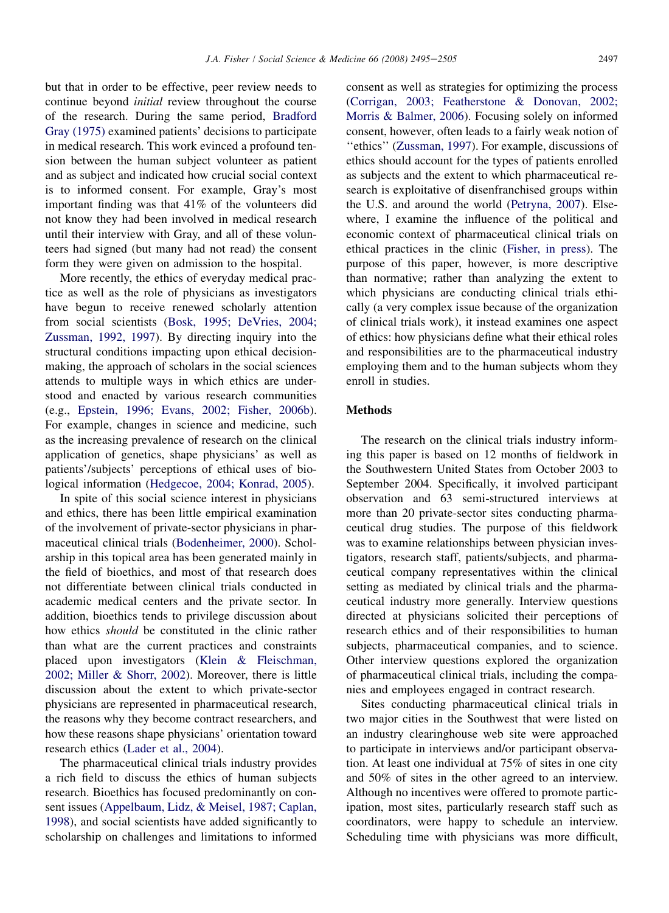but that in order to be effective, peer review needs to continue beyond initial review throughout the course of the research. During the same period, [Bradford](#page-9-0) [Gray \(1975\)](#page-9-0) examined patients' decisions to participate in medical research. This work evinced a profound tension between the human subject volunteer as patient and as subject and indicated how crucial social context is to informed consent. For example, Gray's most important finding was that 41% of the volunteers did not know they had been involved in medical research until their interview with Gray, and all of these volunteers had signed (but many had not read) the consent form they were given on admission to the hospital.

More recently, the ethics of everyday medical practice as well as the role of physicians as investigators have begun to receive renewed scholarly attention from social scientists ([Bosk, 1995; DeVries, 2004;](#page-9-0) [Zussman, 1992, 1997](#page-9-0)). By directing inquiry into the structural conditions impacting upon ethical decisionmaking, the approach of scholars in the social sciences attends to multiple ways in which ethics are understood and enacted by various research communities (e.g., [Epstein, 1996; Evans, 2002; Fisher, 2006b](#page-9-0)). For example, changes in science and medicine, such as the increasing prevalence of research on the clinical application of genetics, shape physicians' as well as patients'/subjects' perceptions of ethical uses of biological information ([Hedgecoe, 2004; Konrad, 2005](#page-9-0)).

In spite of this social science interest in physicians and ethics, there has been little empirical examination of the involvement of private-sector physicians in pharmaceutical clinical trials [\(Bodenheimer, 2000\)](#page-9-0). Scholarship in this topical area has been generated mainly in the field of bioethics, and most of that research does not differentiate between clinical trials conducted in academic medical centers and the private sector. In addition, bioethics tends to privilege discussion about how ethics should be constituted in the clinic rather than what are the current practices and constraints placed upon investigators [\(Klein & Fleischman,](#page-9-0) [2002; Miller & Shorr, 2002](#page-9-0)). Moreover, there is little discussion about the extent to which private-sector physicians are represented in pharmaceutical research, the reasons why they become contract researchers, and how these reasons shape physicians' orientation toward research ethics ([Lader et al., 2004](#page-9-0)).

The pharmaceutical clinical trials industry provides a rich field to discuss the ethics of human subjects research. Bioethics has focused predominantly on consent issues ([Appelbaum, Lidz, & Meisel, 1987; Caplan,](#page-9-0) [1998\)](#page-9-0), and social scientists have added significantly to scholarship on challenges and limitations to informed

consent as well as strategies for optimizing the process [\(Corrigan, 2003; Featherstone & Donovan, 2002;](#page-9-0) [Morris & Balmer, 2006\)](#page-9-0). Focusing solely on informed consent, however, often leads to a fairly weak notion of ''ethics'' ([Zussman, 1997\)](#page-10-0). For example, discussions of ethics should account for the types of patients enrolled as subjects and the extent to which pharmaceutical research is exploitative of disenfranchised groups within the U.S. and around the world ([Petryna, 2007\)](#page-10-0). Elsewhere, I examine the influence of the political and economic context of pharmaceutical clinical trials on ethical practices in the clinic ([Fisher, in press](#page-9-0)). The purpose of this paper, however, is more descriptive than normative; rather than analyzing the extent to which physicians are conducting clinical trials ethically (a very complex issue because of the organization of clinical trials work), it instead examines one aspect of ethics: how physicians define what their ethical roles and responsibilities are to the pharmaceutical industry employing them and to the human subjects whom they enroll in studies.

#### Methods

The research on the clinical trials industry informing this paper is based on 12 months of fieldwork in the Southwestern United States from October 2003 to September 2004. Specifically, it involved participant observation and 63 semi-structured interviews at more than 20 private-sector sites conducting pharmaceutical drug studies. The purpose of this fieldwork was to examine relationships between physician investigators, research staff, patients/subjects, and pharmaceutical company representatives within the clinical setting as mediated by clinical trials and the pharmaceutical industry more generally. Interview questions directed at physicians solicited their perceptions of research ethics and of their responsibilities to human subjects, pharmaceutical companies, and to science. Other interview questions explored the organization of pharmaceutical clinical trials, including the companies and employees engaged in contract research.

Sites conducting pharmaceutical clinical trials in two major cities in the Southwest that were listed on an industry clearinghouse web site were approached to participate in interviews and/or participant observation. At least one individual at 75% of sites in one city and 50% of sites in the other agreed to an interview. Although no incentives were offered to promote participation, most sites, particularly research staff such as coordinators, were happy to schedule an interview. Scheduling time with physicians was more difficult,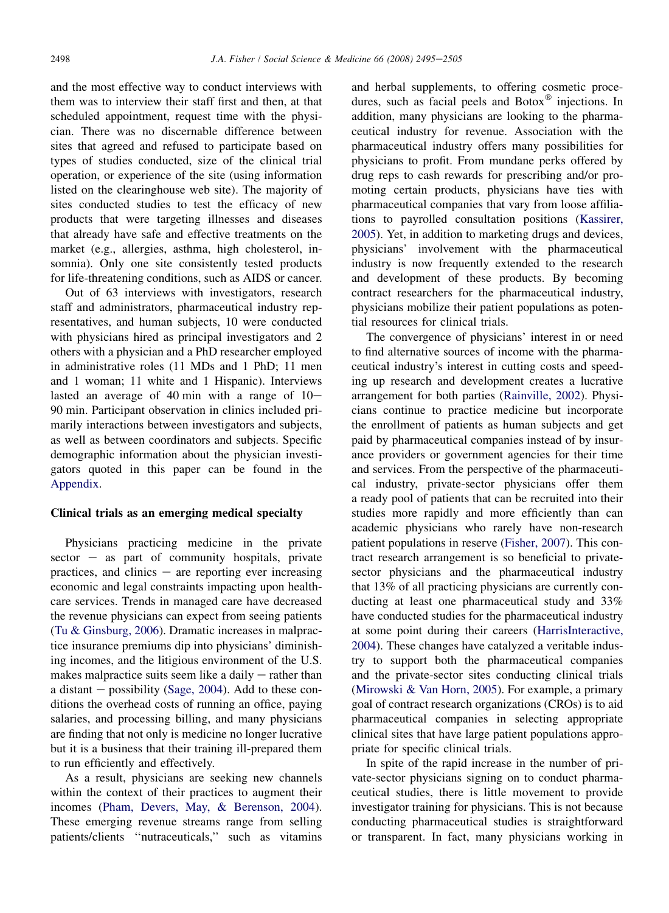and the most effective way to conduct interviews with them was to interview their staff first and then, at that scheduled appointment, request time with the physician. There was no discernable difference between sites that agreed and refused to participate based on types of studies conducted, size of the clinical trial operation, or experience of the site (using information listed on the clearinghouse web site). The majority of sites conducted studies to test the efficacy of new products that were targeting illnesses and diseases that already have safe and effective treatments on the market (e.g., allergies, asthma, high cholesterol, insomnia). Only one site consistently tested products for life-threatening conditions, such as AIDS or cancer.

Out of 63 interviews with investigators, research staff and administrators, pharmaceutical industry representatives, and human subjects, 10 were conducted with physicians hired as principal investigators and 2 others with a physician and a PhD researcher employed in administrative roles (11 MDs and 1 PhD; 11 men and 1 woman; 11 white and 1 Hispanic). Interviews lasted an average of 40 min with a range of  $10-$ 90 min. Participant observation in clinics included primarily interactions between investigators and subjects, as well as between coordinators and subjects. Specific demographic information about the physician investigators quoted in this paper can be found in the Appendix.

### Clinical trials as an emerging medical specialty

Physicians practicing medicine in the private  $sector - as part of community hospitals, private$ practices, and clinics  $-$  are reporting ever increasing economic and legal constraints impacting upon healthcare services. Trends in managed care have decreased the revenue physicians can expect from seeing patients ([Tu & Ginsburg, 2006](#page-10-0)). Dramatic increases in malpractice insurance premiums dip into physicians' diminishing incomes, and the litigious environment of the U.S. makes malpractice suits seem like a daily  $-$  rather than a distant  $-$  possibility ([Sage, 2004](#page-10-0)). Add to these conditions the overhead costs of running an office, paying salaries, and processing billing, and many physicians are finding that not only is medicine no longer lucrative but it is a business that their training ill-prepared them to run efficiently and effectively.

As a result, physicians are seeking new channels within the context of their practices to augment their incomes ([Pham, Devers, May, & Berenson, 2004](#page-10-0)). These emerging revenue streams range from selling patients/clients ''nutraceuticals,'' such as vitamins

and herbal supplements, to offering cosmetic procedures, such as facial peels and Botox $^{\circledR}$  injections. In addition, many physicians are looking to the pharmaceutical industry for revenue. Association with the pharmaceutical industry offers many possibilities for physicians to profit. From mundane perks offered by drug reps to cash rewards for prescribing and/or promoting certain products, physicians have ties with pharmaceutical companies that vary from loose affiliations to payrolled consultation positions ([Kassirer,](#page-9-0) [2005](#page-9-0)). Yet, in addition to marketing drugs and devices, physicians' involvement with the pharmaceutical industry is now frequently extended to the research and development of these products. By becoming contract researchers for the pharmaceutical industry, physicians mobilize their patient populations as potential resources for clinical trials.

The convergence of physicians' interest in or need to find alternative sources of income with the pharmaceutical industry's interest in cutting costs and speeding up research and development creates a lucrative arrangement for both parties [\(Rainville, 2002\)](#page-10-0). Physicians continue to practice medicine but incorporate the enrollment of patients as human subjects and get paid by pharmaceutical companies instead of by insurance providers or government agencies for their time and services. From the perspective of the pharmaceutical industry, private-sector physicians offer them a ready pool of patients that can be recruited into their studies more rapidly and more efficiently than can academic physicians who rarely have non-research patient populations in reserve ([Fisher, 2007\)](#page-9-0). This contract research arrangement is so beneficial to privatesector physicians and the pharmaceutical industry that 13% of all practicing physicians are currently conducting at least one pharmaceutical study and 33% have conducted studies for the pharmaceutical industry at some point during their careers [\(HarrisInteractive,](#page-9-0) [2004](#page-9-0)). These changes have catalyzed a veritable industry to support both the pharmaceutical companies and the private-sector sites conducting clinical trials ([Mirowski & Van Horn, 2005\)](#page-10-0). For example, a primary goal of contract research organizations (CROs) is to aid pharmaceutical companies in selecting appropriate clinical sites that have large patient populations appropriate for specific clinical trials.

In spite of the rapid increase in the number of private-sector physicians signing on to conduct pharmaceutical studies, there is little movement to provide investigator training for physicians. This is not because conducting pharmaceutical studies is straightforward or transparent. In fact, many physicians working in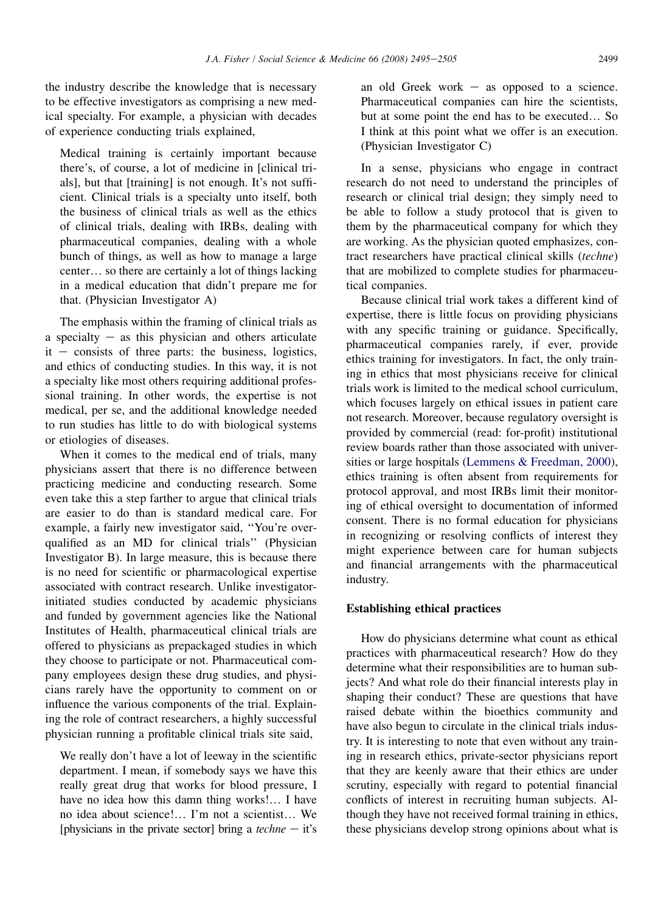the industry describe the knowledge that is necessary to be effective investigators as comprising a new medical specialty. For example, a physician with decades of experience conducting trials explained,

Medical training is certainly important because there's, of course, a lot of medicine in [clinical trials], but that [training] is not enough. It's not sufficient. Clinical trials is a specialty unto itself, both the business of clinical trials as well as the ethics of clinical trials, dealing with IRBs, dealing with pharmaceutical companies, dealing with a whole bunch of things, as well as how to manage a large center. so there are certainly a lot of things lacking in a medical education that didn't prepare me for that. (Physician Investigator A)

The emphasis within the framing of clinical trials as a specialty  $-$  as this physician and others articulate  $it$  – consists of three parts: the business, logistics, and ethics of conducting studies. In this way, it is not a specialty like most others requiring additional professional training. In other words, the expertise is not medical, per se, and the additional knowledge needed to run studies has little to do with biological systems or etiologies of diseases.

When it comes to the medical end of trials, many physicians assert that there is no difference between practicing medicine and conducting research. Some even take this a step farther to argue that clinical trials are easier to do than is standard medical care. For example, a fairly new investigator said, ''You're overqualified as an MD for clinical trials'' (Physician Investigator B). In large measure, this is because there is no need for scientific or pharmacological expertise associated with contract research. Unlike investigatorinitiated studies conducted by academic physicians and funded by government agencies like the National Institutes of Health, pharmaceutical clinical trials are offered to physicians as prepackaged studies in which they choose to participate or not. Pharmaceutical company employees design these drug studies, and physicians rarely have the opportunity to comment on or influence the various components of the trial. Explaining the role of contract researchers, a highly successful physician running a profitable clinical trials site said,

We really don't have a lot of leeway in the scientific department. I mean, if somebody says we have this really great drug that works for blood pressure, I have no idea how this damn thing works!... I have no idea about science!... I'm not a scientist... We [physicians in the private sector] bring a *techne*  $-$  it's an old Greek work  $-$  as opposed to a science. Pharmaceutical companies can hire the scientists, but at some point the end has to be executed... So I think at this point what we offer is an execution. (Physician Investigator C)

In a sense, physicians who engage in contract research do not need to understand the principles of research or clinical trial design; they simply need to be able to follow a study protocol that is given to them by the pharmaceutical company for which they are working. As the physician quoted emphasizes, contract researchers have practical clinical skills (techne) that are mobilized to complete studies for pharmaceutical companies.

Because clinical trial work takes a different kind of expertise, there is little focus on providing physicians with any specific training or guidance. Specifically, pharmaceutical companies rarely, if ever, provide ethics training for investigators. In fact, the only training in ethics that most physicians receive for clinical trials work is limited to the medical school curriculum, which focuses largely on ethical issues in patient care not research. Moreover, because regulatory oversight is provided by commercial (read: for-profit) institutional review boards rather than those associated with universities or large hospitals ([Lemmens & Freedman, 2000](#page-10-0)), ethics training is often absent from requirements for protocol approval, and most IRBs limit their monitoring of ethical oversight to documentation of informed consent. There is no formal education for physicians in recognizing or resolving conflicts of interest they might experience between care for human subjects and financial arrangements with the pharmaceutical industry.

### Establishing ethical practices

How do physicians determine what count as ethical practices with pharmaceutical research? How do they determine what their responsibilities are to human subjects? And what role do their financial interests play in shaping their conduct? These are questions that have raised debate within the bioethics community and have also begun to circulate in the clinical trials industry. It is interesting to note that even without any training in research ethics, private-sector physicians report that they are keenly aware that their ethics are under scrutiny, especially with regard to potential financial conflicts of interest in recruiting human subjects. Although they have not received formal training in ethics, these physicians develop strong opinions about what is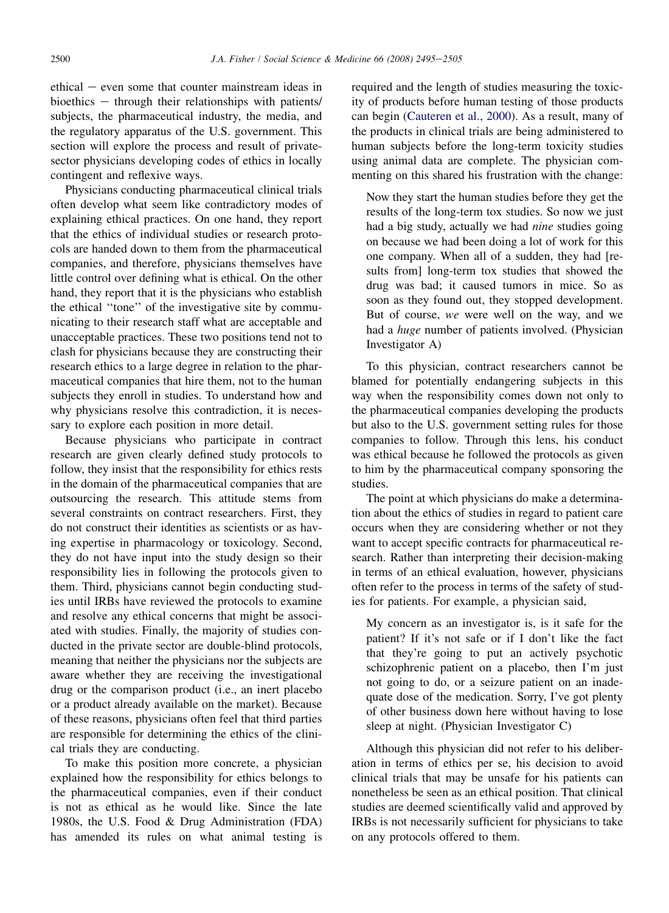$ethical$  – even some that counter mainstream ideas in bioethics  $-$  through their relationships with patients/ subjects, the pharmaceutical industry, the media, and the regulatory apparatus of the U.S. government. This section will explore the process and result of privatesector physicians developing codes of ethics in locally contingent and reflexive ways.

Physicians conducting pharmaceutical clinical trials often develop what seem like contradictory modes of explaining ethical practices. On one hand, they report that the ethics of individual studies or research protocols are handed down to them from the pharmaceutical companies, and therefore, physicians themselves have little control over defining what is ethical. On the other hand, they report that it is the physicians who establish the ethical ''tone'' of the investigative site by communicating to their research staff what are acceptable and unacceptable practices. These two positions tend not to clash for physicians because they are constructing their research ethics to a large degree in relation to the pharmaceutical companies that hire them, not to the human subjects they enroll in studies. To understand how and why physicians resolve this contradiction, it is necessary to explore each position in more detail.

Because physicians who participate in contract research are given clearly defined study protocols to follow, they insist that the responsibility for ethics rests in the domain of the pharmaceutical companies that are outsourcing the research. This attitude stems from several constraints on contract researchers. First, they do not construct their identities as scientists or as having expertise in pharmacology or toxicology. Second, they do not have input into the study design so their responsibility lies in following the protocols given to them. Third, physicians cannot begin conducting studies until IRBs have reviewed the protocols to examine and resolve any ethical concerns that might be associated with studies. Finally, the majority of studies conducted in the private sector are double-blind protocols, meaning that neither the physicians nor the subjects are aware whether they are receiving the investigational drug or the comparison product (i.e., an inert placebo or a product already available on the market). Because of these reasons, physicians often feel that third parties are responsible for determining the ethics of the clinical trials they are conducting.

To make this position more concrete, a physician explained how the responsibility for ethics belongs to the pharmaceutical companies, even if their conduct is not as ethical as he would like. Since the late 1980s, the U.S. Food & Drug Administration (FDA) has amended its rules on what animal testing is

required and the length of studies measuring the toxicity of products before human testing of those products can begin ([Cauteren et al., 2000](#page-9-0)). As a result, many of the products in clinical trials are being administered to human subjects before the long-term toxicity studies using animal data are complete. The physician commenting on this shared his frustration with the change:

Now they start the human studies before they get the results of the long-term tox studies. So now we just had a big study, actually we had nine studies going on because we had been doing a lot of work for this one company. When all of a sudden, they had [results from] long-term tox studies that showed the drug was bad; it caused tumors in mice. So as soon as they found out, they stopped development. But of course, we were well on the way, and we had a huge number of patients involved. (Physician Investigator A)

To this physician, contract researchers cannot be blamed for potentially endangering subjects in this way when the responsibility comes down not only to the pharmaceutical companies developing the products but also to the U.S. government setting rules for those companies to follow. Through this lens, his conduct was ethical because he followed the protocols as given to him by the pharmaceutical company sponsoring the studies.

The point at which physicians do make a determination about the ethics of studies in regard to patient care occurs when they are considering whether or not they want to accept specific contracts for pharmaceutical research. Rather than interpreting their decision-making in terms of an ethical evaluation, however, physicians often refer to the process in terms of the safety of studies for patients. For example, a physician said,

My concern as an investigator is, is it safe for the patient? If it's not safe or if I don't like the fact that they're going to put an actively psychotic schizophrenic patient on a placebo, then I'm just not going to do, or a seizure patient on an inadequate dose of the medication. Sorry, I've got plenty of other business down here without having to lose sleep at night. (Physician Investigator C)

Although this physician did not refer to his deliberation in terms of ethics per se, his decision to avoid clinical trials that may be unsafe for his patients can nonetheless be seen as an ethical position. That clinical studies are deemed scientifically valid and approved by IRBs is not necessarily sufficient for physicians to take on any protocols offered to them.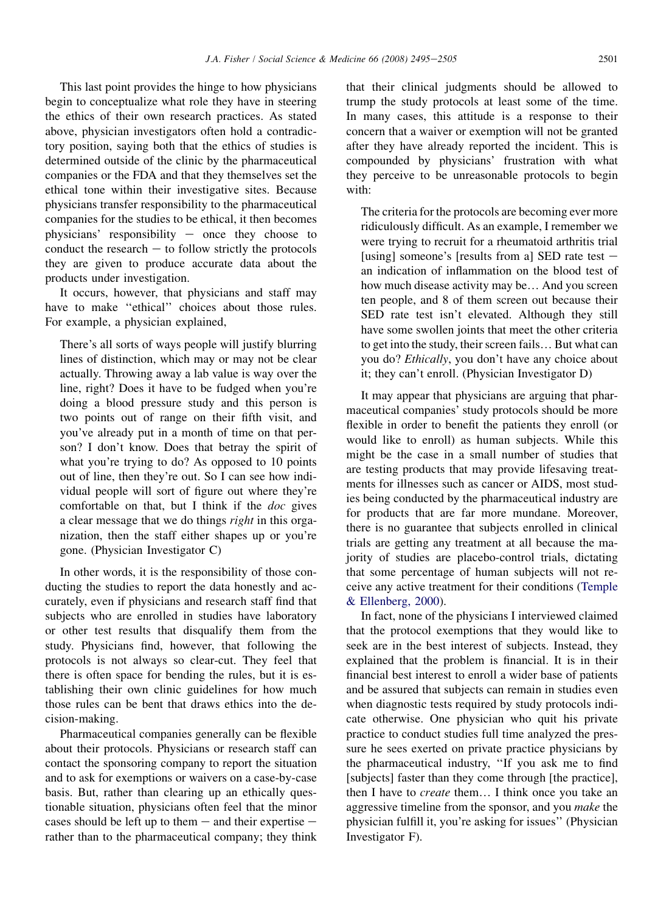This last point provides the hinge to how physicians begin to conceptualize what role they have in steering the ethics of their own research practices. As stated above, physician investigators often hold a contradictory position, saying both that the ethics of studies is determined outside of the clinic by the pharmaceutical companies or the FDA and that they themselves set the ethical tone within their investigative sites. Because physicians transfer responsibility to the pharmaceutical companies for the studies to be ethical, it then becomes physicians' responsibility  $-$  once they choose to conduct the research  $-$  to follow strictly the protocols they are given to produce accurate data about the products under investigation.

It occurs, however, that physicians and staff may have to make ''ethical'' choices about those rules. For example, a physician explained,

There's all sorts of ways people will justify blurring lines of distinction, which may or may not be clear actually. Throwing away a lab value is way over the line, right? Does it have to be fudged when you're doing a blood pressure study and this person is two points out of range on their fifth visit, and you've already put in a month of time on that person? I don't know. Does that betray the spirit of what you're trying to do? As opposed to 10 points out of line, then they're out. So I can see how individual people will sort of figure out where they're comfortable on that, but I think if the  $doc$  gives a clear message that we do things right in this organization, then the staff either shapes up or you're gone. (Physician Investigator C)

In other words, it is the responsibility of those conducting the studies to report the data honestly and accurately, even if physicians and research staff find that subjects who are enrolled in studies have laboratory or other test results that disqualify them from the study. Physicians find, however, that following the protocols is not always so clear-cut. They feel that there is often space for bending the rules, but it is establishing their own clinic guidelines for how much those rules can be bent that draws ethics into the decision-making.

Pharmaceutical companies generally can be flexible about their protocols. Physicians or research staff can contact the sponsoring company to report the situation and to ask for exemptions or waivers on a case-by-case basis. But, rather than clearing up an ethically questionable situation, physicians often feel that the minor cases should be left up to them  $-$  and their expertise  $$ rather than to the pharmaceutical company; they think

that their clinical judgments should be allowed to trump the study protocols at least some of the time. In many cases, this attitude is a response to their concern that a waiver or exemption will not be granted after they have already reported the incident. This is compounded by physicians' frustration with what they perceive to be unreasonable protocols to begin with:

The criteria for the protocols are becoming ever more ridiculously difficult. As an example, I remember we were trying to recruit for a rheumatoid arthritis trial [using] someone's [results from a] SED rate test  $$ an indication of inflammation on the blood test of how much disease activity may be... And you screen ten people, and 8 of them screen out because their SED rate test isn't elevated. Although they still have some swollen joints that meet the other criteria to get into the study, their screen fails... But what can you do? Ethically, you don't have any choice about it; they can't enroll. (Physician Investigator D)

It may appear that physicians are arguing that pharmaceutical companies' study protocols should be more flexible in order to benefit the patients they enroll (or would like to enroll) as human subjects. While this might be the case in a small number of studies that are testing products that may provide lifesaving treatments for illnesses such as cancer or AIDS, most studies being conducted by the pharmaceutical industry are for products that are far more mundane. Moreover, there is no guarantee that subjects enrolled in clinical trials are getting any treatment at all because the majority of studies are placebo-control trials, dictating that some percentage of human subjects will not receive any active treatment for their conditions [\(Temple](#page-10-0) [& Ellenberg, 2000\)](#page-10-0).

In fact, none of the physicians I interviewed claimed that the protocol exemptions that they would like to seek are in the best interest of subjects. Instead, they explained that the problem is financial. It is in their financial best interest to enroll a wider base of patients and be assured that subjects can remain in studies even when diagnostic tests required by study protocols indicate otherwise. One physician who quit his private practice to conduct studies full time analyzed the pressure he sees exerted on private practice physicians by the pharmaceutical industry, ''If you ask me to find [subjects] faster than they come through [the practice], then I have to create them... I think once you take an aggressive timeline from the sponsor, and you make the physician fulfill it, you're asking for issues'' (Physician Investigator F).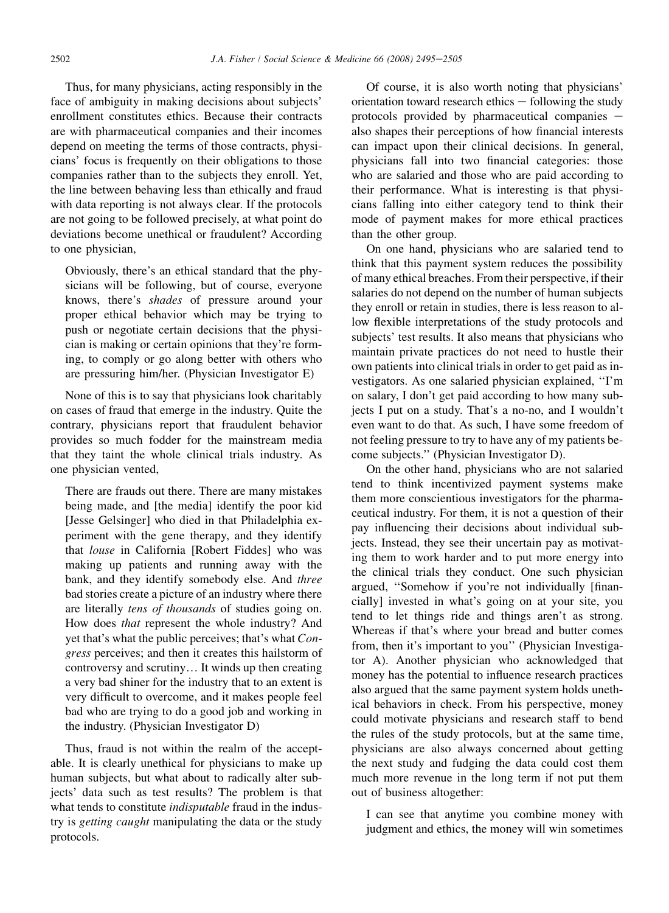Thus, for many physicians, acting responsibly in the face of ambiguity in making decisions about subjects' enrollment constitutes ethics. Because their contracts are with pharmaceutical companies and their incomes depend on meeting the terms of those contracts, physicians' focus is frequently on their obligations to those companies rather than to the subjects they enroll. Yet, the line between behaving less than ethically and fraud with data reporting is not always clear. If the protocols are not going to be followed precisely, at what point do deviations become unethical or fraudulent? According to one physician,

Obviously, there's an ethical standard that the physicians will be following, but of course, everyone knows, there's shades of pressure around your proper ethical behavior which may be trying to push or negotiate certain decisions that the physician is making or certain opinions that they're forming, to comply or go along better with others who are pressuring him/her. (Physician Investigator E)

None of this is to say that physicians look charitably on cases of fraud that emerge in the industry. Quite the contrary, physicians report that fraudulent behavior provides so much fodder for the mainstream media that they taint the whole clinical trials industry. As one physician vented,

There are frauds out there. There are many mistakes being made, and [the media] identify the poor kid [Jesse Gelsinger] who died in that Philadelphia experiment with the gene therapy, and they identify that louse in California [Robert Fiddes] who was making up patients and running away with the bank, and they identify somebody else. And three bad stories create a picture of an industry where there are literally tens of thousands of studies going on. How does that represent the whole industry? And yet that's what the public perceives; that's what Congress perceives; and then it creates this hailstorm of controversy and scrutiny. It winds up then creating a very bad shiner for the industry that to an extent is very difficult to overcome, and it makes people feel bad who are trying to do a good job and working in the industry. (Physician Investigator D)

Thus, fraud is not within the realm of the acceptable. It is clearly unethical for physicians to make up human subjects, but what about to radically alter subjects' data such as test results? The problem is that what tends to constitute *indisputable* fraud in the industry is getting caught manipulating the data or the study protocols.

Of course, it is also worth noting that physicians' orientation toward research ethics  $-$  following the study protocols provided by pharmaceutical companies  $$ also shapes their perceptions of how financial interests can impact upon their clinical decisions. In general, physicians fall into two financial categories: those who are salaried and those who are paid according to their performance. What is interesting is that physicians falling into either category tend to think their mode of payment makes for more ethical practices than the other group.

On one hand, physicians who are salaried tend to think that this payment system reduces the possibility of many ethical breaches. From their perspective, if their salaries do not depend on the number of human subjects they enroll or retain in studies, there is less reason to allow flexible interpretations of the study protocols and subjects' test results. It also means that physicians who maintain private practices do not need to hustle their own patients into clinical trials in order to get paid as investigators. As one salaried physician explained, ''I'm on salary, I don't get paid according to how many subjects I put on a study. That's a no-no, and I wouldn't even want to do that. As such, I have some freedom of not feeling pressure to try to have any of my patients become subjects.'' (Physician Investigator D).

On the other hand, physicians who are not salaried tend to think incentivized payment systems make them more conscientious investigators for the pharmaceutical industry. For them, it is not a question of their pay influencing their decisions about individual subjects. Instead, they see their uncertain pay as motivating them to work harder and to put more energy into the clinical trials they conduct. One such physician argued, ''Somehow if you're not individually [financially] invested in what's going on at your site, you tend to let things ride and things aren't as strong. Whereas if that's where your bread and butter comes from, then it's important to you'' (Physician Investigator A). Another physician who acknowledged that money has the potential to influence research practices also argued that the same payment system holds unethical behaviors in check. From his perspective, money could motivate physicians and research staff to bend the rules of the study protocols, but at the same time, physicians are also always concerned about getting the next study and fudging the data could cost them much more revenue in the long term if not put them out of business altogether:

I can see that anytime you combine money with judgment and ethics, the money will win sometimes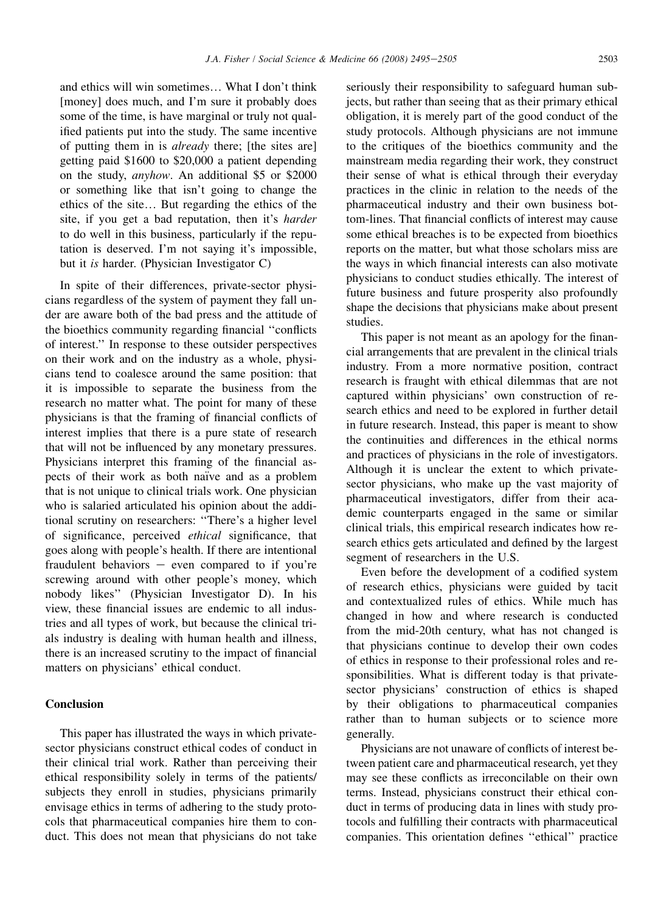and ethics will win sometimes... What I don't think [money] does much, and I'm sure it probably does some of the time, is have marginal or truly not qualified patients put into the study. The same incentive of putting them in is already there; [the sites are] getting paid \$1600 to \$20,000 a patient depending on the study, anyhow. An additional \$5 or \$2000 or something like that isn't going to change the ethics of the site... But regarding the ethics of the site, if you get a bad reputation, then it's harder to do well in this business, particularly if the reputation is deserved. I'm not saying it's impossible, but it is harder. (Physician Investigator C)

In spite of their differences, private-sector physicians regardless of the system of payment they fall under are aware both of the bad press and the attitude of the bioethics community regarding financial ''conflicts of interest.'' In response to these outsider perspectives on their work and on the industry as a whole, physicians tend to coalesce around the same position: that it is impossible to separate the business from the research no matter what. The point for many of these physicians is that the framing of financial conflicts of interest implies that there is a pure state of research that will not be influenced by any monetary pressures. Physicians interpret this framing of the financial aspects of their work as both naïve and as a problem that is not unique to clinical trials work. One physician who is salaried articulated his opinion about the additional scrutiny on researchers: ''There's a higher level of significance, perceived ethical significance, that goes along with people's health. If there are intentional fraudulent behaviors  $-$  even compared to if you're screwing around with other people's money, which nobody likes'' (Physician Investigator D). In his view, these financial issues are endemic to all industries and all types of work, but because the clinical trials industry is dealing with human health and illness, there is an increased scrutiny to the impact of financial matters on physicians' ethical conduct.

### Conclusion

This paper has illustrated the ways in which privatesector physicians construct ethical codes of conduct in their clinical trial work. Rather than perceiving their ethical responsibility solely in terms of the patients/ subjects they enroll in studies, physicians primarily envisage ethics in terms of adhering to the study protocols that pharmaceutical companies hire them to conduct. This does not mean that physicians do not take

seriously their responsibility to safeguard human subjects, but rather than seeing that as their primary ethical obligation, it is merely part of the good conduct of the study protocols. Although physicians are not immune to the critiques of the bioethics community and the mainstream media regarding their work, they construct their sense of what is ethical through their everyday practices in the clinic in relation to the needs of the pharmaceutical industry and their own business bottom-lines. That financial conflicts of interest may cause some ethical breaches is to be expected from bioethics reports on the matter, but what those scholars miss are the ways in which financial interests can also motivate physicians to conduct studies ethically. The interest of future business and future prosperity also profoundly shape the decisions that physicians make about present studies.

This paper is not meant as an apology for the financial arrangements that are prevalent in the clinical trials industry. From a more normative position, contract research is fraught with ethical dilemmas that are not captured within physicians' own construction of research ethics and need to be explored in further detail in future research. Instead, this paper is meant to show the continuities and differences in the ethical norms and practices of physicians in the role of investigators. Although it is unclear the extent to which privatesector physicians, who make up the vast majority of pharmaceutical investigators, differ from their academic counterparts engaged in the same or similar clinical trials, this empirical research indicates how research ethics gets articulated and defined by the largest segment of researchers in the U.S.

Even before the development of a codified system of research ethics, physicians were guided by tacit and contextualized rules of ethics. While much has changed in how and where research is conducted from the mid-20th century, what has not changed is that physicians continue to develop their own codes of ethics in response to their professional roles and responsibilities. What is different today is that privatesector physicians' construction of ethics is shaped by their obligations to pharmaceutical companies rather than to human subjects or to science more generally.

Physicians are not unaware of conflicts of interest between patient care and pharmaceutical research, yet they may see these conflicts as irreconcilable on their own terms. Instead, physicians construct their ethical conduct in terms of producing data in lines with study protocols and fulfilling their contracts with pharmaceutical companies. This orientation defines ''ethical'' practice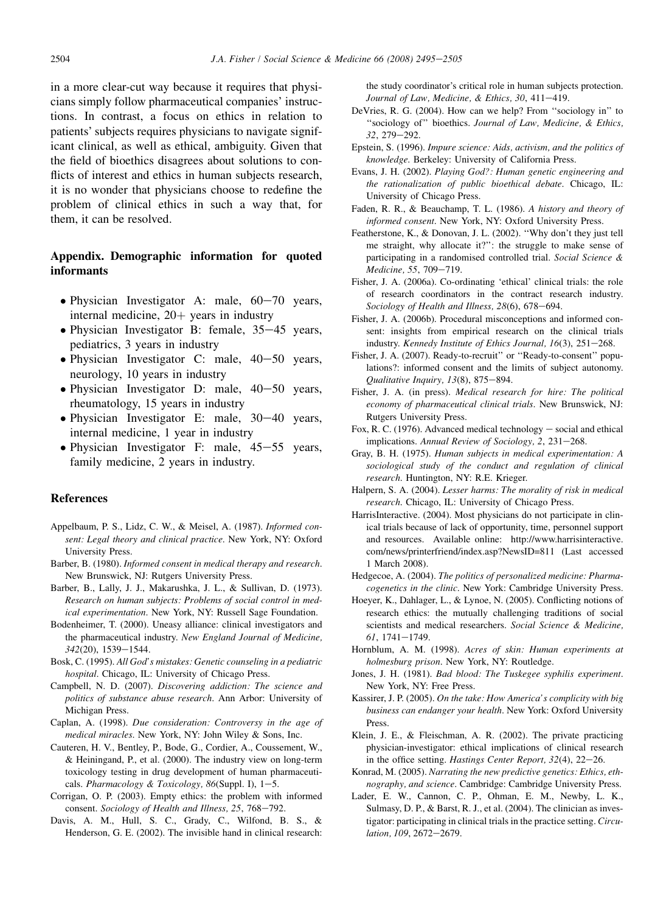<span id="page-9-0"></span>in a more clear-cut way because it requires that physicians simply follow pharmaceutical companies' instructions. In contrast, a focus on ethics in relation to patients' subjects requires physicians to navigate significant clinical, as well as ethical, ambiguity. Given that the field of bioethics disagrees about solutions to conflicts of interest and ethics in human subjects research, it is no wonder that physicians choose to redefine the problem of clinical ethics in such a way that, for them, it can be resolved.

# Appendix. Demographic information for quoted informants

- Physician Investigator A: male, 60–70 years, internal medicine,  $20+$  years in industry
- Physician Investigator B: female, 35–45 years, pediatrics, 3 years in industry
- $\bullet$  Physician Investigator C: male, 40–50 years, neurology, 10 years in industry
- $\bullet$  Physician Investigator D: male, 40–50 years, rheumatology, 15 years in industry
- Physician Investigator E: male, 30–40 years, internal medicine, 1 year in industry
- Physician Investigator F: male, 45–55 years, family medicine, 2 years in industry.

### References

- Appelbaum, P. S., Lidz, C. W., & Meisel, A. (1987). Informed consent: Legal theory and clinical practice. New York, NY: Oxford University Press.
- Barber, B. (1980). Informed consent in medical therapy and research. New Brunswick, NJ: Rutgers University Press.
- Barber, B., Lally, J. J., Makarushka, J. L., & Sullivan, D. (1973). Research on human subjects: Problems of social control in medical experimentation. New York, NY: Russell Sage Foundation.
- Bodenheimer, T. (2000). Uneasy alliance: clinical investigators and the pharmaceutical industry. New England Journal of Medicine, 342(20), 1539-1544.
- Bosk, C. (1995). All God's mistakes: Genetic counseling in a pediatric hospital. Chicago, IL: University of Chicago Press.
- Campbell, N. D. (2007). Discovering addiction: The science and politics of substance abuse research. Ann Arbor: University of Michigan Press.
- Caplan, A. (1998). Due consideration: Controversy in the age of medical miracles. New York, NY: John Wiley & Sons, Inc.
- Cauteren, H. V., Bentley, P., Bode, G., Cordier, A., Coussement, W., & Heiningand, P., et al. (2000). The industry view on long-term toxicology testing in drug development of human pharmaceuticals. Pharmacology & Toxicology, 86(Suppl. I),  $1-5$ .
- Corrigan, O. P. (2003). Empty ethics: the problem with informed consent. Sociology of Health and Illness, 25, 768-792.
- Davis, A. M., Hull, S. C., Grady, C., Wilfond, B. S., & Henderson, G. E. (2002). The invisible hand in clinical research:

the study coordinator's critical role in human subjects protection. Journal of Law, Medicine, & Ethics, 30, 411-419.

- DeVries, R. G. (2004). How can we help? From ''sociology in'' to ''sociology of'' bioethics. Journal of Law, Medicine, & Ethics,  $32, 279 - 292.$
- Epstein, S. (1996). Impure science: Aids, activism, and the politics of knowledge. Berkeley: University of California Press.
- Evans, J. H. (2002). Playing God?: Human genetic engineering and the rationalization of public bioethical debate. Chicago, IL: University of Chicago Press.
- Faden, R. R., & Beauchamp, T. L. (1986). A history and theory of informed consent. New York, NY: Oxford University Press.
- Featherstone, K., & Donovan, J. L. (2002). ''Why don't they just tell me straight, why allocate it?'': the struggle to make sense of participating in a randomised controlled trial. Social Science & Medicine, 55, 709-719.
- Fisher, J. A. (2006a). Co-ordinating 'ethical' clinical trials: the role of research coordinators in the contract research industry. Sociology of Health and Illness,  $28(6)$ ,  $678-694$ .
- Fisher, J. A. (2006b). Procedural misconceptions and informed consent: insights from empirical research on the clinical trials industry. Kennedy Institute of Ethics Journal,  $16(3)$ ,  $251-268$ .
- Fisher, J. A. (2007). Ready-to-recruit" or "Ready-to-consent" populations?: informed consent and the limits of subject autonomy. Oualitative Inquiry,  $13(8)$ ,  $875-894$ .
- Fisher, J. A. (in press). Medical research for hire: The political economy of pharmaceutical clinical trials. New Brunswick, NJ: Rutgers University Press.
- Fox, R. C. (1976). Advanced medical technology  $-$  social and ethical implications. Annual Review of Sociology,  $2$ ,  $231-268$ .
- Gray, B. H. (1975). Human subjects in medical experimentation: A sociological study of the conduct and regulation of clinical research. Huntington, NY: R.E. Krieger.
- Halpern, S. A. (2004). Lesser harms: The morality of risk in medical research. Chicago, IL: University of Chicago Press.
- HarrisInteractive. (2004). Most physicians do not participate in clinical trials because of lack of opportunity, time, personnel support and resources. Available online: http://www.harrisinteractive. com/news/printerfriend/index.asp?NewsID=811 (Last accessed 1 March 2008).
- Hedgecoe, A. (2004). The politics of personalized medicine: Pharmacogenetics in the clinic. New York: Cambridge University Press.
- Hoeyer, K., Dahlager, L., & Lynoe, N. (2005). Conflicting notions of research ethics: the mutually challenging traditions of social scientists and medical researchers. Social Science & Medicine,  $61, 1741 - 1749.$
- Hornblum, A. M. (1998). Acres of skin: Human experiments at holmesburg prison. New York, NY: Routledge.
- Jones, J. H. (1981). Bad blood: The Tuskegee syphilis experiment. New York, NY: Free Press.
- Kassirer, J. P. (2005). On the take: How America's complicity with big business can endanger your health. New York: Oxford University Press.
- Klein, J. E., & Fleischman, A. R. (2002). The private practicing physician-investigator: ethical implications of clinical research in the office setting. Hastings Center Report,  $32(4)$ ,  $22-26$ .
- Konrad, M. (2005). Narrating the new predictive genetics: Ethics, ethnography, and science. Cambridge: Cambridge University Press.
- Lader, E. W., Cannon, C. P., Ohman, E. M., Newby, L. K., Sulmasy, D. P., & Barst, R. J., et al. (2004). The clinician as investigator: participating in clinical trials in the practice setting. Circulation, 109, 2672-2679.